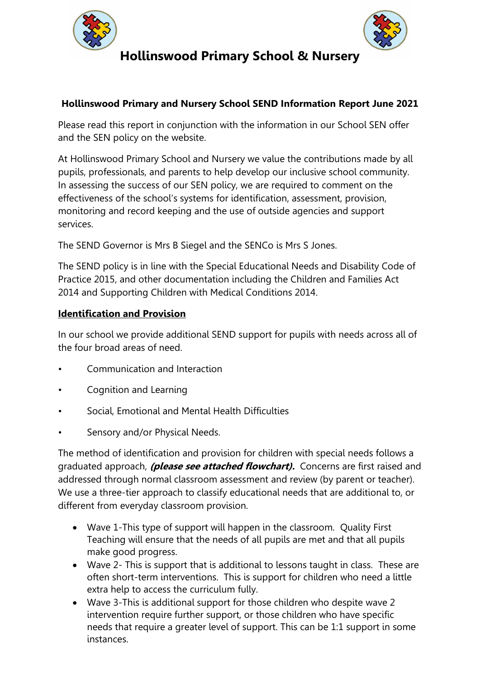



## **Hollinswood Primary and Nursery School SEND Information Report June 2021**

Please read this report in conjunction with the information in our School SEN offer and the SEN policy on the website.

At Hollinswood Primary School and Nursery we value the contributions made by all pupils, professionals, and parents to help develop our inclusive school community. In assessing the success of our SEN policy, we are required to comment on the effectiveness of the school's systems for identification, assessment, provision, monitoring and record keeping and the use of outside agencies and support services.

The SEND Governor is Mrs B Siegel and the SENCo is Mrs S Jones.

The SEND policy is in line with the Special Educational Needs and Disability Code of Practice 2015, and other documentation including the Children and Families Act 2014 and Supporting Children with Medical Conditions 2014.

### **Identification and Provision**

In our school we provide additional SEND support for pupils with needs across all of the four broad areas of need.

- Communication and Interaction
- Cognition and Learning
- Social, Emotional and Mental Health Difficulties
- Sensory and/or Physical Needs.

The method of identification and provision for children with special needs follows a graduated approach, **(please see attached flowchart).** Concerns are first raised and addressed through normal classroom assessment and review (by parent or teacher). We use a three-tier approach to classify educational needs that are additional to, or different from everyday classroom provision.

- Wave 1-This type of support will happen in the classroom. Quality First Teaching will ensure that the needs of all pupils are met and that all pupils make good progress.
- Wave 2- This is support that is additional to lessons taught in class. These are often short-term interventions. This is support for children who need a little extra help to access the curriculum fully.
- Wave 3-This is additional support for those children who despite wave 2 intervention require further support, or those children who have specific needs that require a greater level of support. This can be 1:1 support in some instances.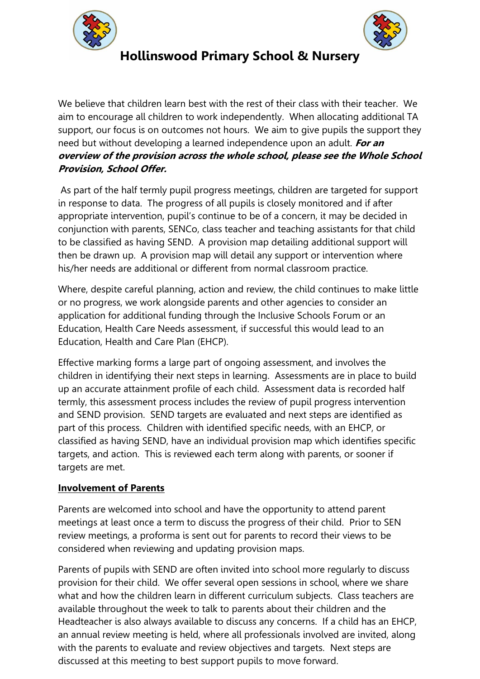



We believe that children learn best with the rest of their class with their teacher. We aim to encourage all children to work independently. When allocating additional TA support, our focus is on outcomes not hours. We aim to give pupils the support they need but without developing a learned independence upon an adult. **For an overview of the provision across the whole school, please see the Whole School Provision, School Offer.**

As part of the half termly pupil progress meetings, children are targeted for support in response to data. The progress of all pupils is closely monitored and if after appropriate intervention, pupil's continue to be of a concern, it may be decided in conjunction with parents, SENCo, class teacher and teaching assistants for that child to be classified as having SEND. A provision map detailing additional support will then be drawn up. A provision map will detail any support or intervention where his/her needs are additional or different from normal classroom practice.

Where, despite careful planning, action and review, the child continues to make little or no progress, we work alongside parents and other agencies to consider an application for additional funding through the Inclusive Schools Forum or an Education, Health Care Needs assessment, if successful this would lead to an Education, Health and Care Plan (EHCP).

Effective marking forms a large part of ongoing assessment, and involves the children in identifying their next steps in learning. Assessments are in place to build up an accurate attainment profile of each child. Assessment data is recorded half termly, this assessment process includes the review of pupil progress intervention and SEND provision. SEND targets are evaluated and next steps are identified as part of this process. Children with identified specific needs, with an EHCP, or classified as having SEND, have an individual provision map which identifies specific targets, and action. This is reviewed each term along with parents, or sooner if targets are met.

### **Involvement of Parents**

Parents are welcomed into school and have the opportunity to attend parent meetings at least once a term to discuss the progress of their child. Prior to SEN review meetings, a proforma is sent out for parents to record their views to be considered when reviewing and updating provision maps.

Parents of pupils with SEND are often invited into school more regularly to discuss provision for their child. We offer several open sessions in school, where we share what and how the children learn in different curriculum subjects. Class teachers are available throughout the week to talk to parents about their children and the Headteacher is also always available to discuss any concerns. If a child has an EHCP, an annual review meeting is held, where all professionals involved are invited, along with the parents to evaluate and review objectives and targets. Next steps are discussed at this meeting to best support pupils to move forward.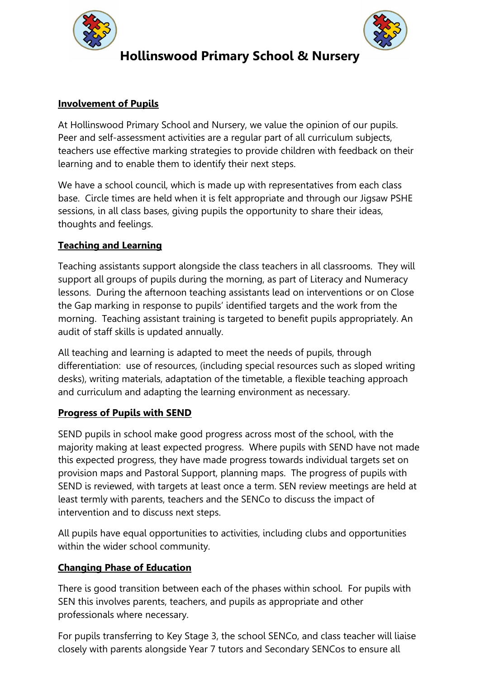



## **Involvement of Pupils**

At Hollinswood Primary School and Nursery, we value the opinion of our pupils. Peer and self-assessment activities are a regular part of all curriculum subjects, teachers use effective marking strategies to provide children with feedback on their learning and to enable them to identify their next steps.

We have a school council, which is made up with representatives from each class base. Circle times are held when it is felt appropriate and through our Jigsaw PSHE sessions, in all class bases, giving pupils the opportunity to share their ideas, thoughts and feelings.

## **Teaching and Learning**

Teaching assistants support alongside the class teachers in all classrooms. They will support all groups of pupils during the morning, as part of Literacy and Numeracy lessons. During the afternoon teaching assistants lead on interventions or on Close the Gap marking in response to pupils' identified targets and the work from the morning. Teaching assistant training is targeted to benefit pupils appropriately. An audit of staff skills is updated annually.

All teaching and learning is adapted to meet the needs of pupils, through differentiation: use of resources, (including special resources such as sloped writing desks), writing materials, adaptation of the timetable, a flexible teaching approach and curriculum and adapting the learning environment as necessary.

### **Progress of Pupils with SEND**

SEND pupils in school make good progress across most of the school, with the majority making at least expected progress. Where pupils with SEND have not made this expected progress, they have made progress towards individual targets set on provision maps and Pastoral Support, planning maps. The progress of pupils with SEND is reviewed, with targets at least once a term. SEN review meetings are held at least termly with parents, teachers and the SENCo to discuss the impact of intervention and to discuss next steps.

All pupils have equal opportunities to activities, including clubs and opportunities within the wider school community.

## **Changing Phase of Education**

There is good transition between each of the phases within school. For pupils with SEN this involves parents, teachers, and pupils as appropriate and other professionals where necessary.

For pupils transferring to Key Stage 3, the school SENCo, and class teacher will liaise closely with parents alongside Year 7 tutors and Secondary SENCos to ensure all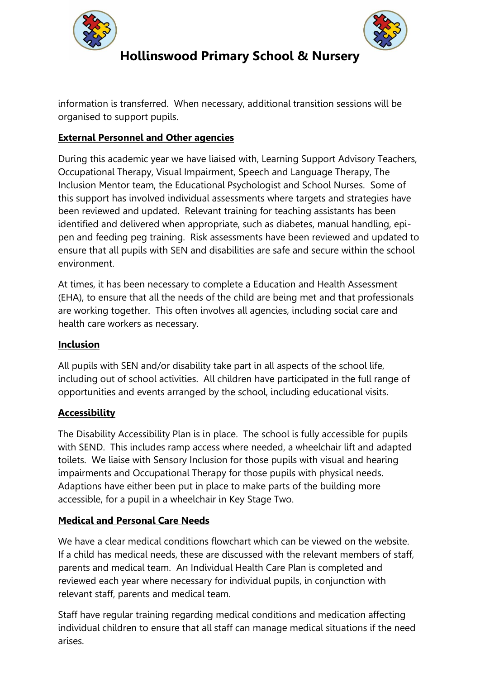



information is transferred. When necessary, additional transition sessions will be organised to support pupils.

## **External Personnel and Other agencies**

During this academic year we have liaised with, Learning Support Advisory Teachers, Occupational Therapy, Visual Impairment, Speech and Language Therapy, The Inclusion Mentor team, the Educational Psychologist and School Nurses. Some of this support has involved individual assessments where targets and strategies have been reviewed and updated. Relevant training for teaching assistants has been identified and delivered when appropriate, such as diabetes, manual handling, epipen and feeding peg training. Risk assessments have been reviewed and updated to ensure that all pupils with SEN and disabilities are safe and secure within the school environment.

At times, it has been necessary to complete a Education and Health Assessment (EHA), to ensure that all the needs of the child are being met and that professionals are working together. This often involves all agencies, including social care and health care workers as necessary.

### **Inclusion**

All pupils with SEN and/or disability take part in all aspects of the school life, including out of school activities. All children have participated in the full range of opportunities and events arranged by the school, including educational visits.

### **Accessibility**

The Disability Accessibility Plan is in place. The school is fully accessible for pupils with SEND. This includes ramp access where needed, a wheelchair lift and adapted toilets. We liaise with Sensory Inclusion for those pupils with visual and hearing impairments and Occupational Therapy for those pupils with physical needs. Adaptions have either been put in place to make parts of the building more accessible, for a pupil in a wheelchair in Key Stage Two.

### **Medical and Personal Care Needs**

We have a clear medical conditions flowchart which can be viewed on the website. If a child has medical needs, these are discussed with the relevant members of staff, parents and medical team. An Individual Health Care Plan is completed and reviewed each year where necessary for individual pupils, in conjunction with relevant staff, parents and medical team.

Staff have regular training regarding medical conditions and medication affecting individual children to ensure that all staff can manage medical situations if the need arises.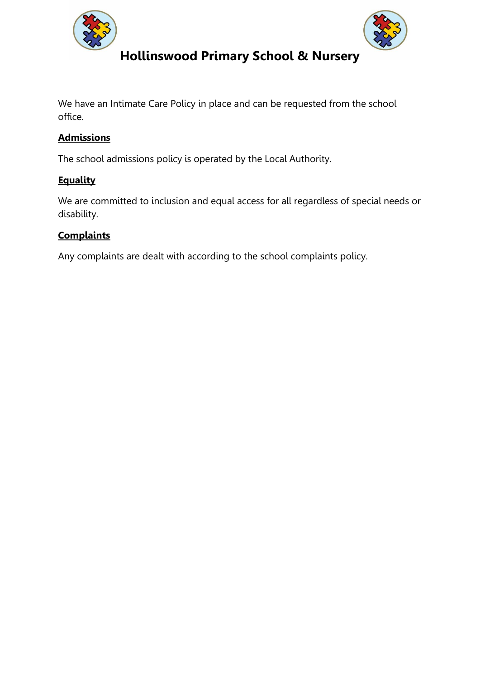



We have an Intimate Care Policy in place and can be requested from the school office.

## **Admissions**

The school admissions policy is operated by the Local Authority.

### **Equality**

We are committed to inclusion and equal access for all regardless of special needs or disability.

## **Complaints**

Any complaints are dealt with according to the school complaints policy.